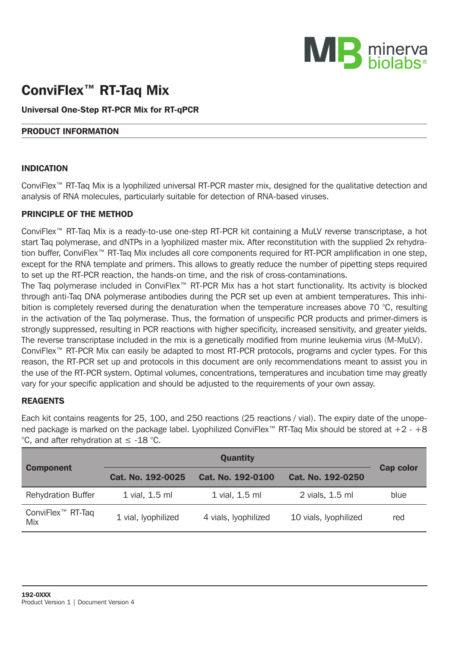

# ConviFlex™ RT-Taq Mix

## Universal One-Step RT-PCR Mix for RT-qPCR

#### PRODUCT INFORMATION

#### INDICATION

ConviFlex™ RT-Taq Mix is a lyophilized universal RT-PCR master mix, designed for the qualitative detection and analysis of RNA molecules, particularly suitable for detection of RNA-based viruses.

#### PRINCIPLE OF THE METHOD

ConviFlex™ RT-Taq Mix is a ready-to-use one-step RT-PCR kit containing a MuLV reverse transcriptase, a hot start Taq polymerase, and dNTPs in a lyophilized master mix. After reconstitution with the supplied 2x rehydration buffer, ConviFlex™ RT-Taq Mix includes all core components required for RT-PCR amplification in one step, except for the RNA template and primers. This allows to greatly reduce the number of pipetting steps required to set up the RT-PCR reaction, the hands-on time, and the risk of cross-contaminations.

The Taq polymerase included in ConviFlex™ RT-PCR Mix has a hot start functionality. Its activity is blocked through anti-Taq DNA polymerase antibodies during the PCR set up even at ambient temperatures. This inhibition is completely reversed during the denaturation when the temperature increases above 70 °C, resulting in the activation of the Taq polymerase. Thus, the formation of unspecific PCR products and primer-dimers is strongly suppressed, resulting in PCR reactions with higher specificity, increased sensitivity, and greater yields. The reverse transcriptase included in the mix is a genetically modified from murine leukemia virus (M-MuLV).

ConviFlex™ RT-PCR Mix can easily be adapted to most RT-PCR protocols, programs and cycler types. For this reason, the RT-PCR set up and protocols in this document are only recommendations meant to assist you in the use of the RT-PCR system. Optimal volumes, concentrations, temperatures and incubation time may greatly vary for your specific application and should be adjusted to the requirements of your own assay.

## REAGENTS

Each kit contains reagents for 25, 100, and 250 reactions (25 reactions / vial). The expiry date of the unopened package is marked on the package label. Lyophilized ConviFlex™ RT-Taq Mix should be stored at  $+2 - +8$ °C, and after rehydration at ≤ -18 °C.

|                                      |                     | Cap color            |                       |      |  |
|--------------------------------------|---------------------|----------------------|-----------------------|------|--|
| <b>Component</b>                     | Cat. No. 192-0025   | Cat. No. 192-0100    | Cat. No. 192-0250     |      |  |
| <b>Rehydration Buffer</b>            | 1 vial, 1,5 ml      | 1 vial, 1.5 ml       | 2 vials, 1.5 ml       | blue |  |
| ConviFlex <sup>™</sup> RT-Taq<br>Mix | 1 vial, lyophilized | 4 vials, lyophilized | 10 vials, lyophilized | red  |  |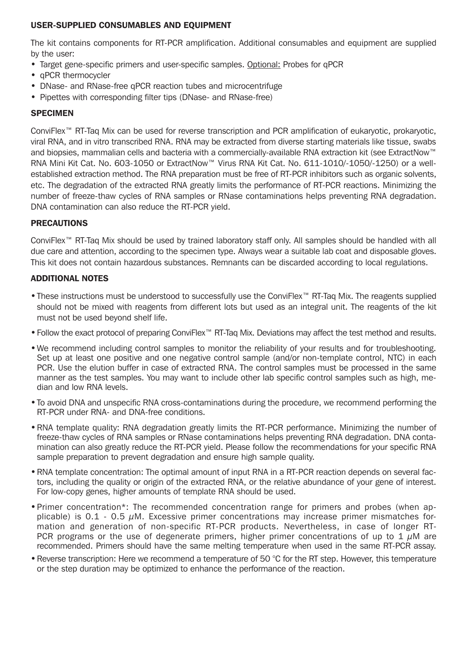## USER-SUPPLIED CONSUMABLES AND EQUIPMENT

The kit contains components for RT-PCR amplification. Additional consumables and equipment are supplied by the user:

- • Target gene-specific primers and user-specific samples. Optional: Probes for qPCR
- **aPCR** thermocycler
- DNase- and RNase-free gPCR reaction tubes and microcentrifuge
- Pipettes with corresponding filter tips (DNase- and RNase-free)

## **SPECIMEN**

ConviFlex™ RT-Taq Mix can be used for reverse transcription and PCR amplification of eukaryotic, prokaryotic, viral RNA, and in vitro transcribed RNA. RNA may be extracted from diverse starting materials like tissue, swabs and biopsies, mammalian cells and bacteria with a commercially-available RNA extraction kit (see ExtractNow™ RNA Mini Kit Cat. No. 603-1050 or ExtractNow™ Virus RNA Kit Cat. No. 611-1010/-1050/-1250) or a wellestablished extraction method. The RNA preparation must be free of RT-PCR inhibitors such as organic solvents, etc. The degradation of the extracted RNA greatly limits the performance of RT-PCR reactions. Minimizing the number of freeze-thaw cycles of RNA samples or RNase contaminations helps preventing RNA degradation. DNA contamination can also reduce the RT-PCR yield.

#### PRECAUTIONS

ConviFlex™ RT-Taq Mix should be used by trained laboratory staff only. All samples should be handled with all due care and attention, according to the specimen type. Always wear a suitable lab coat and disposable gloves. This kit does not contain hazardous substances. Remnants can be discarded according to local regulations.

## ADDITIONAL NOTES

- • These instructions must be understood to successfully use the ConviFlex™ RT-Taq Mix. The reagents supplied should not be mixed with reagents from different lots but used as an integral unit. The reagents of the kit must not be used beyond shelf life.
- • Follow the exact protocol of preparing ConviFlex™ RT-Taq Mix. Deviations may affect the test method and results.
- • We recommend including control samples to monitor the reliability of your results and for troubleshooting. Set up at least one positive and one negative control sample (and/or non-template control, NTC) in each PCR. Use the elution buffer in case of extracted RNA. The control samples must be processed in the same manner as the test samples. You may want to include other lab specific control samples such as high, median and low RNA levels.
- To avoid DNA and unspecific RNA cross-contaminations during the procedure, we recommend performing the RT-PCR under RNA- and DNA-free conditions.
- RNA template quality: RNA degradation greatly limits the RT-PCR performance. Minimizing the number of freeze-thaw cycles of RNA samples or RNase contaminations helps preventing RNA degradation. DNA contamination can also greatly reduce the RT-PCR yield. Please follow the recommendations for your specific RNA sample preparation to prevent degradation and ensure high sample quality.
- RNA template concentration: The optimal amount of input RNA in a RT-PCR reaction depends on several factors, including the quality or origin of the extracted RNA, or the relative abundance of your gene of interest. For low-copy genes, higher amounts of template RNA should be used.
- Primer concentration\*: The recommended concentration range for primers and probes (when applicable) is 0.1 - 0.5  $\mu$ M. Excessive primer concentrations may increase primer mismatches formation and generation of non-specific RT-PCR products. Nevertheless, in case of longer RT-PCR programs or the use of degenerate primers, higher primer concentrations of up to 1  $\mu$ M are recommended. Primers should have the same melting temperature when used in the same RT-PCR assay.
- • Reverse transcription: Here we recommend a temperature of 50 °C for the RT step. However, this temperature or the step duration may be optimized to enhance the performance of the reaction.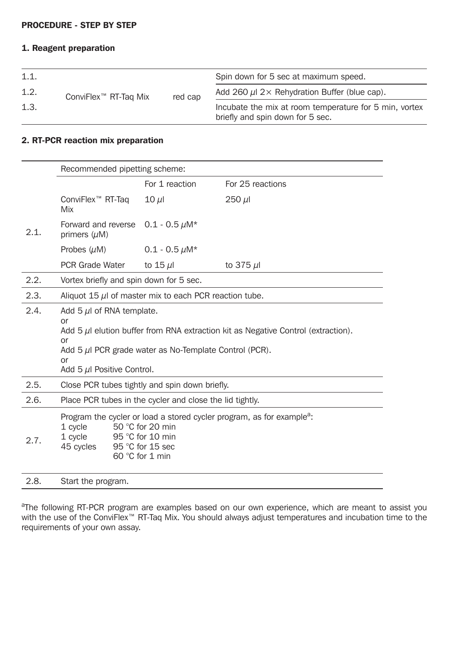## PROCEDURE - STEP BY STEP

#### 1. Reagent preparation

| 1.1. |                       |         | Spin down for 5 sec at maximum speed.                                                      |  |
|------|-----------------------|---------|--------------------------------------------------------------------------------------------|--|
| 1.2. | ConviFlex™ RT-Tag Mix | red cap | Add 260 $\mu$ l 2 $\times$ Rehydration Buffer (blue cap).                                  |  |
| 1.3. |                       |         | Incubate the mix at room temperature for 5 min, vortex<br>briefly and spin down for 5 sec. |  |

# 2. RT-PCR reaction mix preparation

|      | Recommended pipetting scheme:                                                                                                                                                                                                              |                     |                  |  |  |  |
|------|--------------------------------------------------------------------------------------------------------------------------------------------------------------------------------------------------------------------------------------------|---------------------|------------------|--|--|--|
|      |                                                                                                                                                                                                                                            | For 1 reaction      | For 25 reactions |  |  |  |
|      | ConviFlex <sup>™</sup> RT-Taq<br>Mix                                                                                                                                                                                                       | $10 \mu$            | $250 \mu$        |  |  |  |
| 2.1. | Forward and reverse<br>primers $(\mu M)$                                                                                                                                                                                                   | $0.1 - 0.5 \mu M^*$ |                  |  |  |  |
|      | Probes $(\mu M)$                                                                                                                                                                                                                           | $0.1 - 0.5 \mu M^*$ |                  |  |  |  |
|      | PCR Grade Water                                                                                                                                                                                                                            | to 15 $\mu$         | to 375 $\mu$     |  |  |  |
| 2.2. | Vortex briefly and spin down for 5 sec.                                                                                                                                                                                                    |                     |                  |  |  |  |
| 2.3. | Aliquot 15 $\mu$ of master mix to each PCR reaction tube.                                                                                                                                                                                  |                     |                  |  |  |  |
| 2.4. | Add 5 $\mu$ of RNA template.<br>or<br>Add 5 $\mu$ l elution buffer from RNA extraction kit as Negative Control (extraction).<br>or<br>Add $5 \mu$ I PCR grade water as No-Template Control (PCR).<br>or<br>Add 5 $\mu$ I Positive Control. |                     |                  |  |  |  |
| 2.5. | Close PCR tubes tightly and spin down briefly.                                                                                                                                                                                             |                     |                  |  |  |  |
| 2.6. | Place PCR tubes in the cycler and close the lid tightly.                                                                                                                                                                                   |                     |                  |  |  |  |
| 2.7. | Program the cycler or load a stored cycler program, as for example <sup>a</sup> :<br>1 cycle<br>50 °C for 20 min<br>1 cycle<br>95 °C for 10 min<br>45 cycles<br>95 °C for 15 sec<br>60 °C for 1 min                                        |                     |                  |  |  |  |
| 2.8. | Start the program.                                                                                                                                                                                                                         |                     |                  |  |  |  |

<sup>a</sup>The following RT-PCR program are examples based on our own experience, which are meant to assist you with the use of the ConviFlex™ RT-Taq Mix. You should always adjust temperatures and incubation time to the requirements of your own assay.